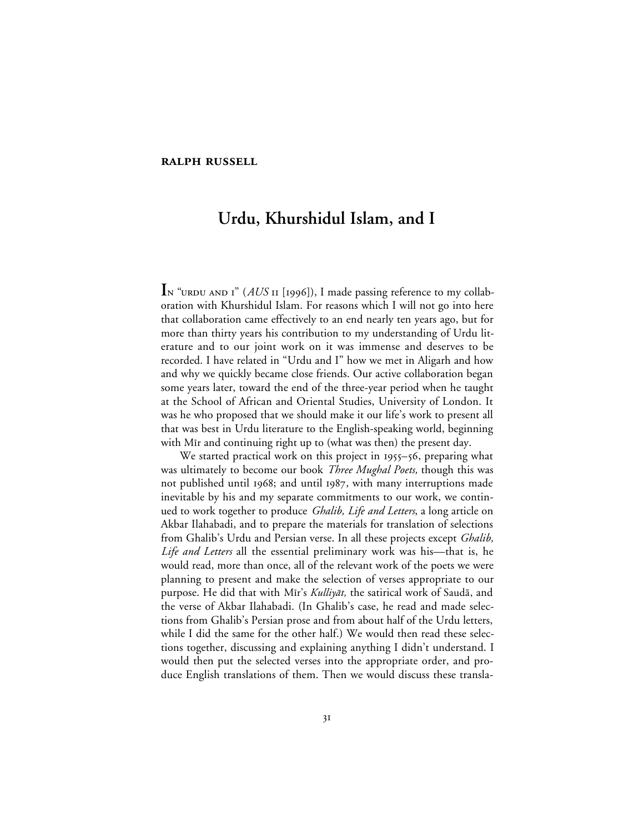## **RALPH RUSSELL**

## **Urdu, Khurshidul Islam, and I**

In "URDU AND I" (AUS II [1996]), I made passing reference to my collaboration with Khurshidul Islam. For reasons which I will not go into here that collaboration came effectively to an end nearly ten years ago, but for more than thirty years his contribution to my understanding of Urdu literature and to our joint work on it was immense and deserves to be recorded. I have related in "Urdu and I" how we met in Aligarh and how and why we quickly became close friends. Our active collaboration began some years later, toward the end of the three-year period when he taught at the School of African and Oriental Studies, University of London. It was he who proposed that we should make it our life's work to present all that was best in Urdu literature to the English-speaking world, beginning with Mir and continuing right up to (what was then) the present day.

We started practical work on this project in  $1955 - 56$ , preparing what was ultimately to become our book *Three Mughal Poets,* though this was not published until 1968; and until 1987, with many interruptions made inevitable by his and my separate commitments to our work, we continued to work together to produce *Ghalib, Life and Letters*, a long article on Akbar Ilahabadi, and to prepare the materials for translation of selections from Ghalib's Urdu and Persian verse. In all these projects except *Ghalib, Life and Letters* all the essential preliminary work was his—that is, he would read, more than once, all of the relevant work of the poets we were planning to present and make the selection of verses appropriate to our purpose. He did that with Mīr's Kulliyāt, the satirical work of Saudā, and the verse of Akbar Ilahabadi. (In Ghalib's case, he read and made selections from Ghalib's Persian prose and from about half of the Urdu letters, while I did the same for the other half.) We would then read these selections together, discussing and explaining anything I didn't understand. I would then put the selected verses into the appropriate order, and produce English translations of them. Then we would discuss these transla-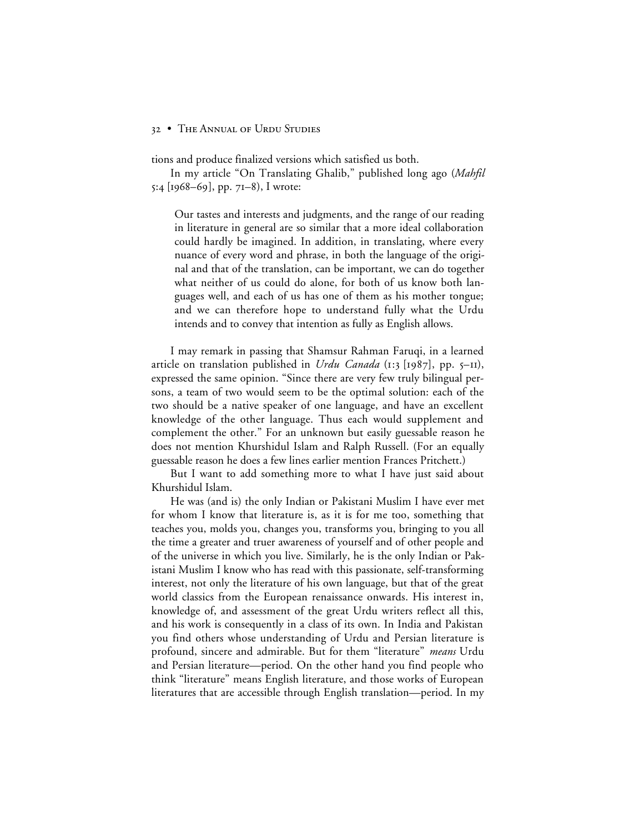## 32 • THE ANNUAL OF URDU STUDIES

tions and produce finalized versions which satisfied us both.

In my article "On Translating Ghalib," published long ago (*Mahfil*  $5:4$  [1968–69], pp. 71–8), I wrote:

Our tastes and interests and judgments, and the range of our reading in literature in general are so similar that a more ideal collaboration could hardly be imagined. In addition, in translating, where every nuance of every word and phrase, in both the language of the original and that of the translation, can be important, we can do together what neither of us could do alone, for both of us know both languages well, and each of us has one of them as his mother tongue; and we can therefore hope to understand fully what the Urdu intends and to convey that intention as fully as English allows.

I may remark in passing that Shamsur Rahman Faruqi, in a learned article on translation published in *Urdu Canada* (1:3 [1987], pp. 5-11), expressed the same opinion. "Since there are very few truly bilingual persons, a team of two would seem to be the optimal solution: each of the two should be a native speaker of one language, and have an excellent knowledge of the other language. Thus each would supplement and complement the other." For an unknown but easily guessable reason he does not mention Khurshidul Islam and Ralph Russell. (For an equally guessable reason he does a few lines earlier mention Frances Pritchett.)

But I want to add something more to what I have just said about Khurshidul Islam.

He was (and is) the only Indian or Pakistani Muslim I have ever met for whom I know that literature is, as it is for me too, something that teaches you, molds you, changes you, transforms you, bringing to you all the time a greater and truer awareness of yourself and of other people and of the universe in which you live. Similarly, he is the only Indian or Pakistani Muslim I know who has read with this passionate, self-transforming interest, not only the literature of his own language, but that of the great world classics from the European renaissance onwards. His interest in, knowledge of, and assessment of the great Urdu writers reflect all this, and his work is consequently in a class of its own. In India and Pakistan you find others whose understanding of Urdu and Persian literature is profound, sincere and admirable. But for them "literature" *means* Urdu and Persian literature—period. On the other hand you find people who think "literature" means English literature, and those works of European literatures that are accessible through English translation—period. In my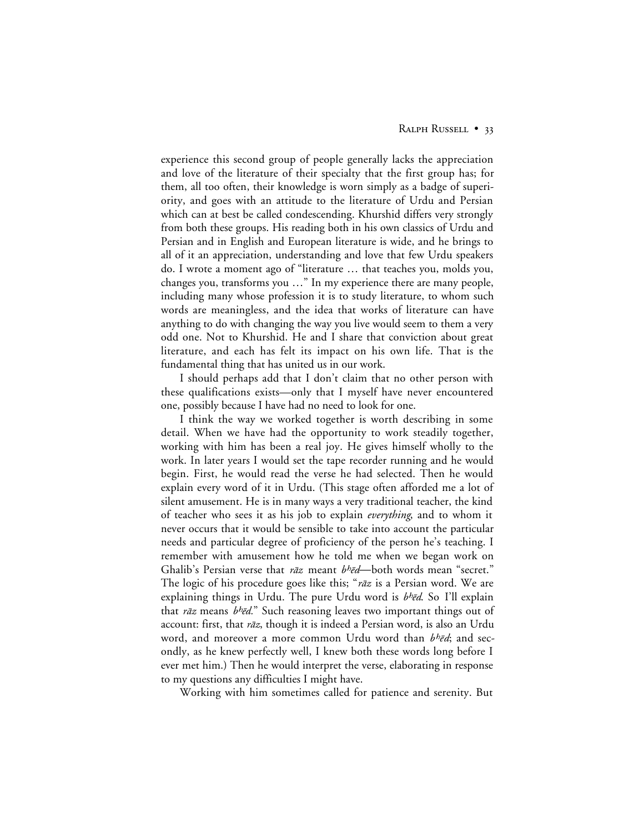experience this second group of people generally lacks the appreciation and love of the literature of their specialty that the first group has; for them, all too often, their knowledge is worn simply as a badge of superiority, and goes with an attitude to the literature of Urdu and Persian which can at best be called condescending. Khurshid differs very strongly from both these groups. His reading both in his own classics of Urdu and Persian and in English and European literature is wide, and he brings to all of it an appreciation, understanding and love that few Urdu speakers do. I wrote a moment ago of "literature … that teaches you, molds you, changes you, transforms you …" In my experience there are many people, including many whose profession it is to study literature, to whom such words are meaningless, and the idea that works of literature can have anything to do with changing the way you live would seem to them a very odd one. Not to Khurshid. He and I share that conviction about great literature, and each has felt its impact on his own life. That is the fundamental thing that has united us in our work.

I should perhaps add that I don't claim that no other person with these qualifications exists—only that I myself have never encountered one, possibly because I have had no need to look for one.

I think the way we worked together is worth describing in some detail. When we have had the opportunity to work steadily together, working with him has been a real joy. He gives himself wholly to the work. In later years I would set the tape recorder running and he would begin. First, he would read the verse he had selected. Then he would explain every word of it in Urdu. (This stage often afforded me a lot of silent amusement. He is in many ways a very traditional teacher, the kind of teacher who sees it as his job to explain *everything*, and to whom it never occurs that it would be sensible to take into account the particular needs and particular degree of proficiency of the person he's teaching. I remember with amusement how he told me when we began work on Ghalib's Persian verse that rāz meant bhēd—both words mean "secret." The logic of his procedure goes like this; "rāz is a Persian word. We are explaining things in Urdu. The pure Urdu word is  $b<sup>h</sup>$ ēd. So I'll explain that rāz means b<sup>h</sup>ēd." Such reasoning leaves two important things out of account: first, that rāz, though it is indeed a Persian word, is also an Urdu word, and moreover a more common Urdu word than  $b^h\bar{e}d$ ; and secondly, as he knew perfectly well, I knew both these words long before I ever met him.) Then he would interpret the verse, elaborating in response to my questions any difficulties I might have.

Working with him sometimes called for patience and serenity. But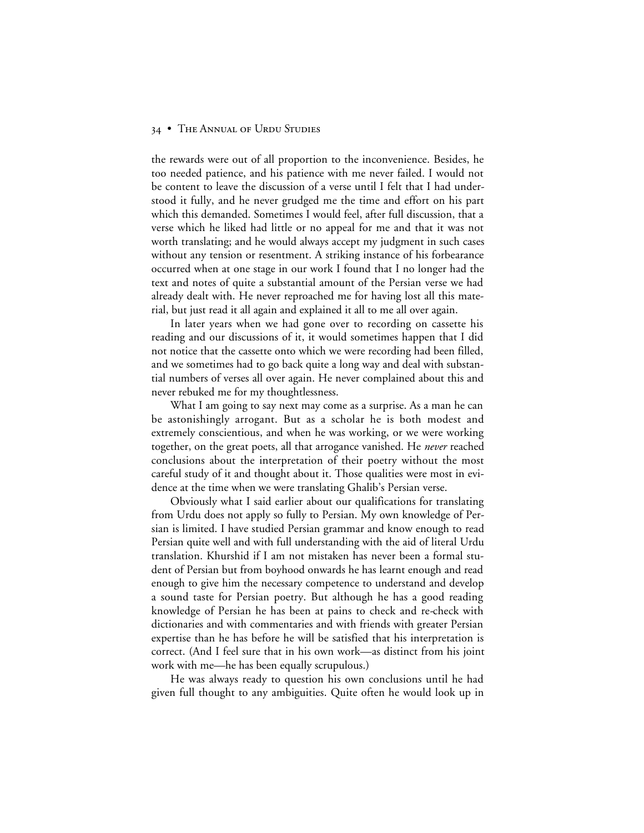## 34 • THE ANNUAL OF URDU STUDIES

the rewards were out of all proportion to the inconvenience. Besides, he too needed patience, and his patience with me never failed. I would not be content to leave the discussion of a verse until I felt that I had understood it fully, and he never grudged me the time and effort on his part which this demanded. Sometimes I would feel, after full discussion, that a verse which he liked had little or no appeal for me and that it was not worth translating; and he would always accept my judgment in such cases without any tension or resentment. A striking instance of his forbearance occurred when at one stage in our work I found that I no longer had the text and notes of quite a substantial amount of the Persian verse we had already dealt with. He never reproached me for having lost all this material, but just read it all again and explained it all to me all over again.

In later years when we had gone over to recording on cassette his reading and our discussions of it, it would sometimes happen that I did not notice that the cassette onto which we were recording had been filled, and we sometimes had to go back quite a long way and deal with substantial numbers of verses all over again. He never complained about this and never rebuked me for my thoughtlessness.

What I am going to say next may come as a surprise. As a man he can be astonishingly arrogant. But as a scholar he is both modest and extremely conscientious, and when he was working, or we were working together, on the great poets, all that arrogance vanished. He *never* reached conclusions about the interpretation of their poetry without the most careful study of it and thought about it. Those qualities were most in evidence at the time when we were translating Ghalib's Persian verse.

Obviously what I said earlier about our qualifications for translating from Urdu does not apply so fully to Persian. My own knowledge of Persian is limited. I have studied Persian grammar and know enough to read Persian quite well and with full understanding with the aid of literal Urdu translation. Khurshid if I am not mistaken has never been a formal student of Persian but from boyhood onwards he has learnt enough and read enough to give him the necessary competence to understand and develop a sound taste for Persian poetry. But although he has a good reading knowledge of Persian he has been at pains to check and re-check with dictionaries and with commentaries and with friends with greater Persian expertise than he has before he will be satisfied that his interpretation is correct. (And I feel sure that in his own work—as distinct from his joint work with me—he has been equally scrupulous.)

He was always ready to question his own conclusions until he had given full thought to any ambiguities. Quite often he would look up in